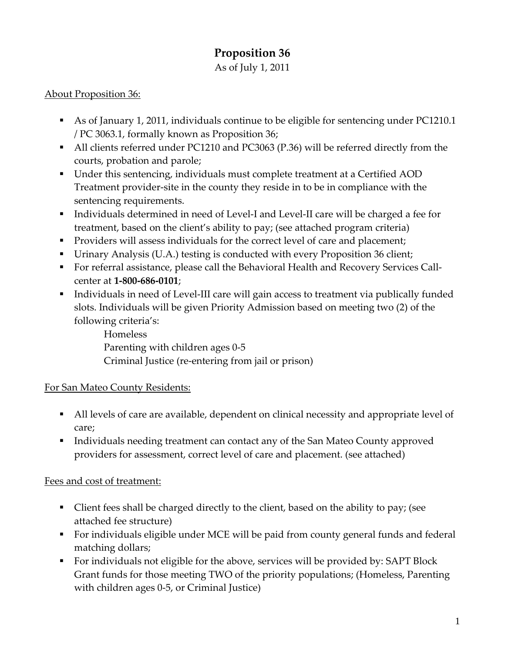# **Proposition 36**

As of July 1, 2011

# About Proposition 36:

- As of January 1, 2011, individuals continue to be eligible for sentencing under PC1210.1 / PC 3063.1, formally known as Proposition 36;
- All clients referred under PC1210 and PC3063 (P.36) will be referred directly from the courts, probation and parole;
- Under this sentencing, individuals must complete treatment at a Certified AOD Treatment provider‐site in the county they reside in to be in compliance with the sentencing requirements.
- Individuals determined in need of Level-I and Level-II care will be charged a fee for treatment, based on the client's ability to pay; (see attached program criteria)
- **Providers will assess individuals for the correct level of care and placement;**
- Urinary Analysis (U.A.) testing is conducted with every Proposition 36 client;
- For referral assistance, please call the Behavioral Health and Recovery Services Callcenter at **1‐800‐686‐0101**;
- Individuals in need of Level-III care will gain access to treatment via publically funded slots. Individuals will be given Priority Admission based on meeting two (2) of the following criteria's:

Homeless Parenting with children ages 0‐5 Criminal Justice (re‐entering from jail or prison)

# For San Mateo County Residents:

- All levels of care are available, dependent on clinical necessity and appropriate level of care;
- Individuals needing treatment can contact any of the San Mateo County approved providers for assessment, correct level of care and placement. (see attached)

# Fees and cost of treatment:

- Client fees shall be charged directly to the client, based on the ability to pay; (see attached fee structure)
- For individuals eligible under MCE will be paid from county general funds and federal matching dollars;
- For individuals not eligible for the above, services will be provided by: SAPT Block Grant funds for those meeting TWO of the priority populations; (Homeless, Parenting with children ages 0‐5, or Criminal Justice)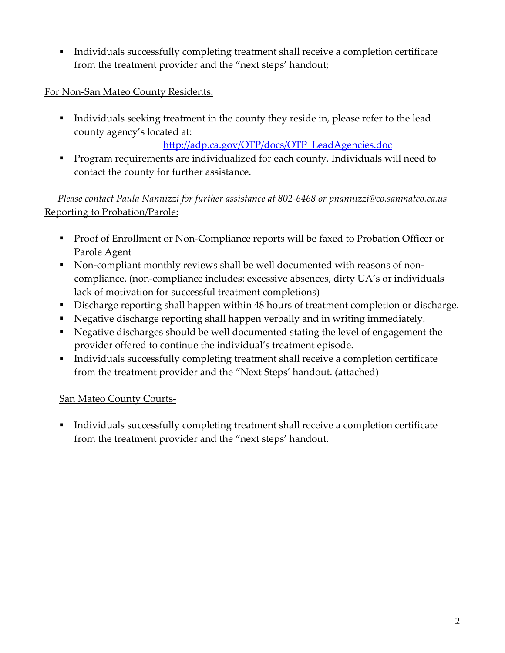Individuals successfully completing treatment shall receive a completion certificate from the treatment provider and the "next steps' handout;

### For Non-San Mateo County Residents:

Individuals seeking treatment in the county they reside in, please refer to the lead county agency's located at:

### http://adp.ca.gov/OTP/docs/OTP\_LeadAgencies.doc

**Program requirements are individualized for each county. Individuals will need to** contact the county for further assistance.

*Please contact Paula Nannizzi for further assistance at 802‐6468 or pnannizzi@co.sanmateo.ca.us* Reporting to Probation/Parole:

- Proof of Enrollment or Non-Compliance reports will be faxed to Probation Officer or Parole Agent
- Non-compliant monthly reviews shall be well documented with reasons of noncompliance. (non‐compliance includes: excessive absences, dirty UA's or individuals lack of motivation for successful treatment completions)
- Discharge reporting shall happen within 48 hours of treatment completion or discharge.
- Negative discharge reporting shall happen verbally and in writing immediately.
- Negative discharges should be well documented stating the level of engagement the provider offered to continue the individual's treatment episode.
- Individuals successfully completing treatment shall receive a completion certificate from the treatment provider and the "Next Steps' handout. (attached)

### San Mateo County Courts‐

 Individuals successfully completing treatment shall receive a completion certificate from the treatment provider and the "next steps' handout.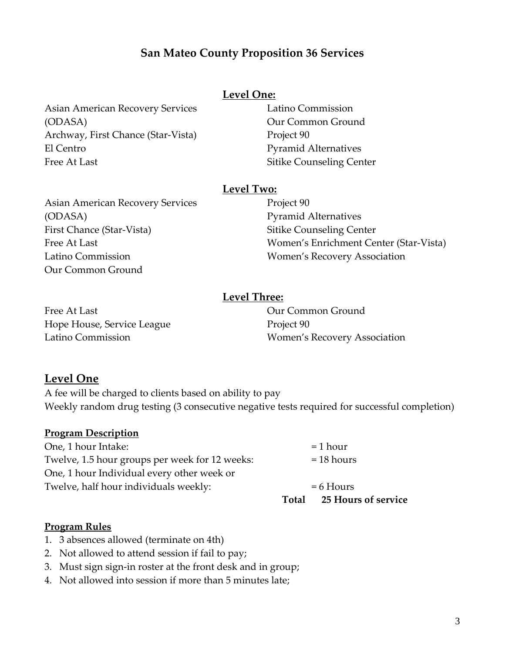# **San Mateo County Proposition 36 Services**

### **Level One:**

Asian American Recovery Services (ODASA) Archway, First Chance (Star‐Vista) El Centro Free At Last

Latino Commission Our Common Ground Project 90 Pyramid Alternatives Sitike Counseling Center

#### **Level Two:**

Asian American Recovery Services (ODASA) First Chance (Star‐Vista) Free At Last Latino Commission Our Common Ground

Project 90 Pyramid Alternatives Sitike Counseling Center Women's Enrichment Center (Star‐Vista) Women's Recovery Association

### **Level Three:**

Free At Last Hope House, Service League Latino Commission

Our Common Ground Project 90 Women's Recovery Association

### **Level One**

A fee will be charged to clients based on ability to pay Weekly random drug testing (3 consecutive negative tests required for successful completion)

#### **Program Description**

|                                                | Total       | <b>25 Hours of service</b> |
|------------------------------------------------|-------------|----------------------------|
| Twelve, half hour individuals weekly:          | $= 6$ Hours |                            |
| One, 1 hour Individual every other week or     |             |                            |
| Twelve, 1.5 hour groups per week for 12 weeks: |             | $= 18$ hours               |
| One, 1 hour Intake:                            |             | $=$ 1 hour                 |

#### **Program Rules**

- 1. 3 absences allowed (terminate on 4th)
- 2. Not allowed to attend session if fail to pay;
- 3. Must sign sign‐in roster at the front desk and in group;
- 4. Not allowed into session if more than 5 minutes late;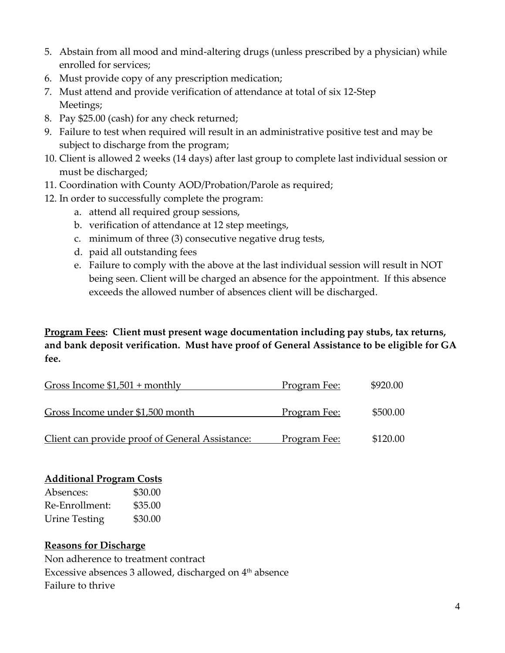- 5. Abstain from all mood and mind‐altering drugs (unless prescribed by a physician) while enrolled for services;
- 6. Must provide copy of any prescription medication;
- 7. Must attend and provide verification of attendance at total of six 12‐Step Meetings;
- 8. Pay \$25.00 (cash) for any check returned;
- 9. Failure to test when required will result in an administrative positive test and may be subject to discharge from the program;
- 10. Client is allowed 2 weeks (14 days) after last group to complete last individual session or must be discharged;
- 11. Coordination with County AOD/Probation/Parole as required;
- 12. In order to successfully complete the program:
	- a. attend all required group sessions,
	- b. verification of attendance at 12 step meetings,
	- c. minimum of three (3) consecutive negative drug tests,
	- d. paid all outstanding fees
	- e. Failure to comply with the above at the last individual session will result in NOT being seen. Client will be charged an absence for the appointment. If this absence exceeds the allowed number of absences client will be discharged.

# **Program Fees: Client must present wage documentation including pay stubs, tax returns, and bank deposit verification. Must have proof of General Assistance to be eligible for GA fee.**

| Gross Income $$1,501 + monthly$                 | <u>Program Fee:</u> | \$920.00 |
|-------------------------------------------------|---------------------|----------|
| Gross Income under \$1,500 month                | Program Fee:        | \$500.00 |
| Client can provide proof of General Assistance: | Program Fee:        | \$120.00 |

### **Additional Program Costs**

| Absences:            | \$30.00 |
|----------------------|---------|
| Re-Enrollment:       | \$35.00 |
| <b>Urine Testing</b> | \$30.00 |

### **Reasons for Discharge**

Non adherence to treatment contract Excessive absences 3 allowed, discharged on 4<sup>th</sup> absence Failure to thrive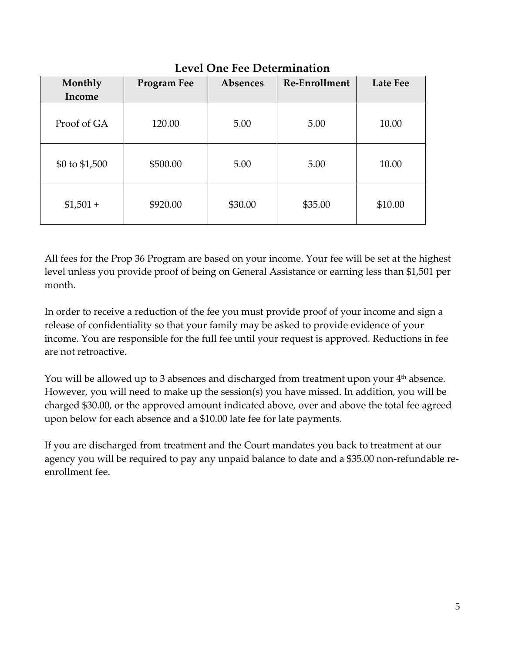| Monthly<br>Income | <b>Program Fee</b> | Absences | Re-Enrollment | Late Fee |
|-------------------|--------------------|----------|---------------|----------|
| Proof of GA       | 120.00             | 5.00     | 5.00          | 10.00    |
| \$0 to \$1,500    | \$500.00           | 5.00     | 5.00          | 10.00    |
| $$1,501 +$        | \$920.00           | \$30.00  | \$35.00       | \$10.00  |

# **Level One Fee Determination**

All fees for the Prop 36 Program are based on your income. Your fee will be set at the highest level unless you provide proof of being on General Assistance or earning less than \$1,501 per month.

In order to receive a reduction of the fee you must provide proof of your income and sign a release of confidentiality so that your family may be asked to provide evidence of your income. You are responsible for the full fee until your request is approved. Reductions in fee are not retroactive.

You will be allowed up to 3 absences and discharged from treatment upon your 4<sup>th</sup> absence. However, you will need to make up the session(s) you have missed. In addition, you will be charged \$30.00, or the approved amount indicated above, over and above the total fee agreed upon below for each absence and a \$10.00 late fee for late payments.

If you are discharged from treatment and the Court mandates you back to treatment at our agency you will be required to pay any unpaid balance to date and a \$35.00 non‐refundable re‐ enrollment fee.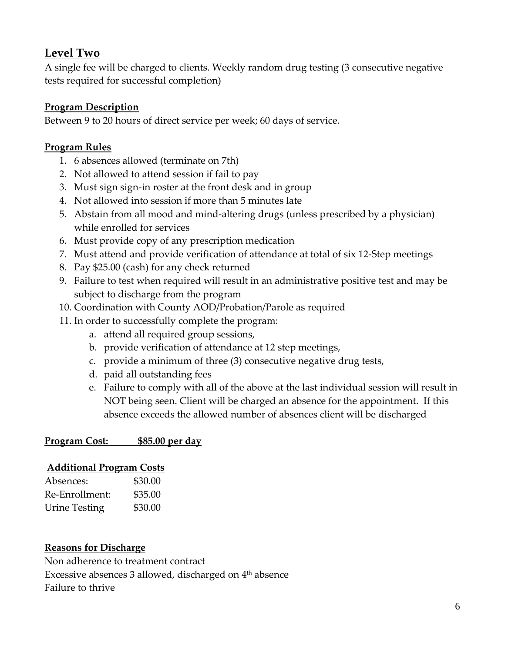# **Level Two**

A single fee will be charged to clients. Weekly random drug testing (3 consecutive negative tests required for successful completion)

# **Program Description**

Between 9 to 20 hours of direct service per week; 60 days of service.

# **Program Rules**

- 1. 6 absences allowed (terminate on 7th)
- 2. Not allowed to attend session if fail to pay
- 3. Must sign sign‐in roster at the front desk and in group
- 4. Not allowed into session if more than 5 minutes late
- 5. Abstain from all mood and mind‐altering drugs (unless prescribed by a physician) while enrolled for services
- 6. Must provide copy of any prescription medication
- 7. Must attend and provide verification of attendance at total of six 12‐Step meetings
- 8. Pay \$25.00 (cash) for any check returned
- 9. Failure to test when required will result in an administrative positive test and may be subject to discharge from the program
- 10. Coordination with County AOD/Probation/Parole as required
- 11. In order to successfully complete the program:
	- a. attend all required group sessions,
	- b. provide verification of attendance at 12 step meetings,
	- c. provide a minimum of three (3) consecutive negative drug tests,
	- d. paid all outstanding fees
	- e. Failure to comply with all of the above at the last individual session will result in NOT being seen. Client will be charged an absence for the appointment. If this absence exceeds the allowed number of absences client will be discharged

# **Program Cost: \$85.00 per day**

### **Additional Program Costs**

| Absences:            | \$30.00 |
|----------------------|---------|
| Re-Enrollment:       | \$35.00 |
| <b>Urine Testing</b> | \$30.00 |

### **Reasons for Discharge**

Non adherence to treatment contract Excessive absences 3 allowed, discharged on  $4<sup>th</sup>$  absence Failure to thrive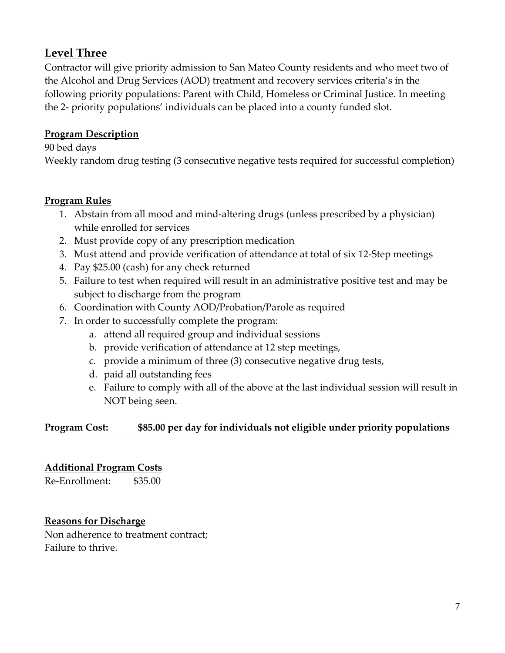# **Level Three**

Contractor will give priority admission to San Mateo County residents and who meet two of the Alcohol and Drug Services (AOD) treatment and recovery services criteria's in the following priority populations: Parent with Child, Homeless or Criminal Justice. In meeting the 2‐ priority populations' individuals can be placed into a county funded slot.

# **Program Description**

90 bed days Weekly random drug testing (3 consecutive negative tests required for successful completion)

### **Program Rules**

- 1. Abstain from all mood and mind‐altering drugs (unless prescribed by a physician) while enrolled for services
- 2. Must provide copy of any prescription medication
- 3. Must attend and provide verification of attendance at total of six 12‐Step meetings
- 4. Pay \$25.00 (cash) for any check returned
- 5. Failure to test when required will result in an administrative positive test and may be subject to discharge from the program
- 6. Coordination with County AOD/Probation/Parole as required
- 7. In order to successfully complete the program:
	- a. attend all required group and individual sessions
	- b. provide verification of attendance at 12 step meetings,
	- c. provide a minimum of three (3) consecutive negative drug tests,
	- d. paid all outstanding fees
	- e. Failure to comply with all of the above at the last individual session will result in NOT being seen.

# **Program Cost: \$85.00 per day for individuals not eligible under priority populations**

# **Additional Program Costs**

Re-Enrollment: \$35.00

### **Reasons for Discharge**

Non adherence to treatment contract; Failure to thrive.